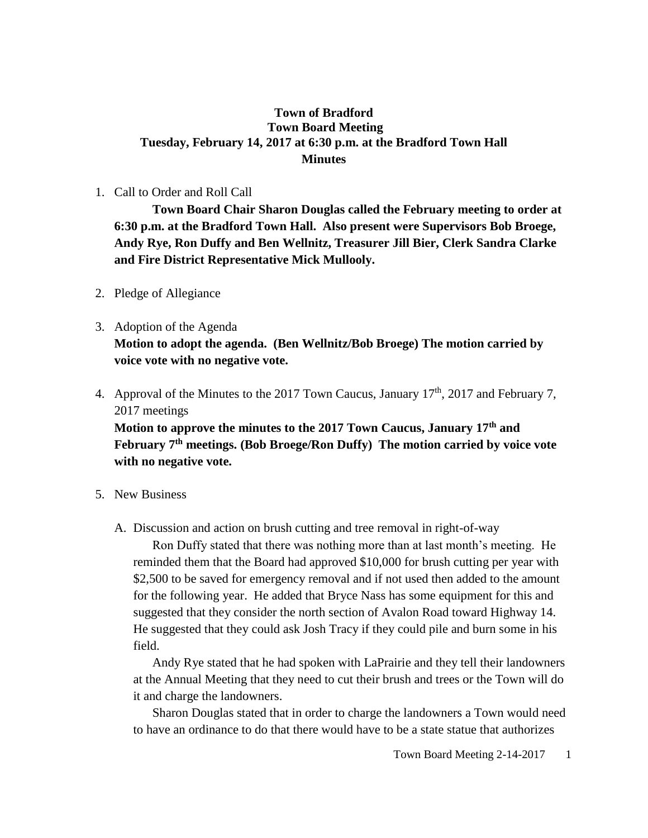## **Town of Bradford Town Board Meeting Tuesday, February 14, 2017 at 6:30 p.m. at the Bradford Town Hall Minutes**

## 1. Call to Order and Roll Call

**Town Board Chair Sharon Douglas called the February meeting to order at 6:30 p.m. at the Bradford Town Hall. Also present were Supervisors Bob Broege, Andy Rye, Ron Duffy and Ben Wellnitz, Treasurer Jill Bier, Clerk Sandra Clarke and Fire District Representative Mick Mullooly.** 

- 2. Pledge of Allegiance
- 3. Adoption of the Agenda **Motion to adopt the agenda. (Ben Wellnitz/Bob Broege) The motion carried by voice vote with no negative vote.**
- 4. Approval of the Minutes to the 2017 Town Caucus, January  $17<sup>th</sup>$ , 2017 and February 7, 2017 meetings

**Motion to approve the minutes to the 2017 Town Caucus, January 17th and February 7th meetings. (Bob Broege/Ron Duffy) The motion carried by voice vote with no negative vote.**

## 5. New Business

A. Discussion and action on brush cutting and tree removal in right-of-way

Ron Duffy stated that there was nothing more than at last month's meeting. He reminded them that the Board had approved \$10,000 for brush cutting per year with \$2,500 to be saved for emergency removal and if not used then added to the amount for the following year. He added that Bryce Nass has some equipment for this and suggested that they consider the north section of Avalon Road toward Highway 14. He suggested that they could ask Josh Tracy if they could pile and burn some in his field.

Andy Rye stated that he had spoken with LaPrairie and they tell their landowners at the Annual Meeting that they need to cut their brush and trees or the Town will do it and charge the landowners.

Sharon Douglas stated that in order to charge the landowners a Town would need to have an ordinance to do that there would have to be a state statue that authorizes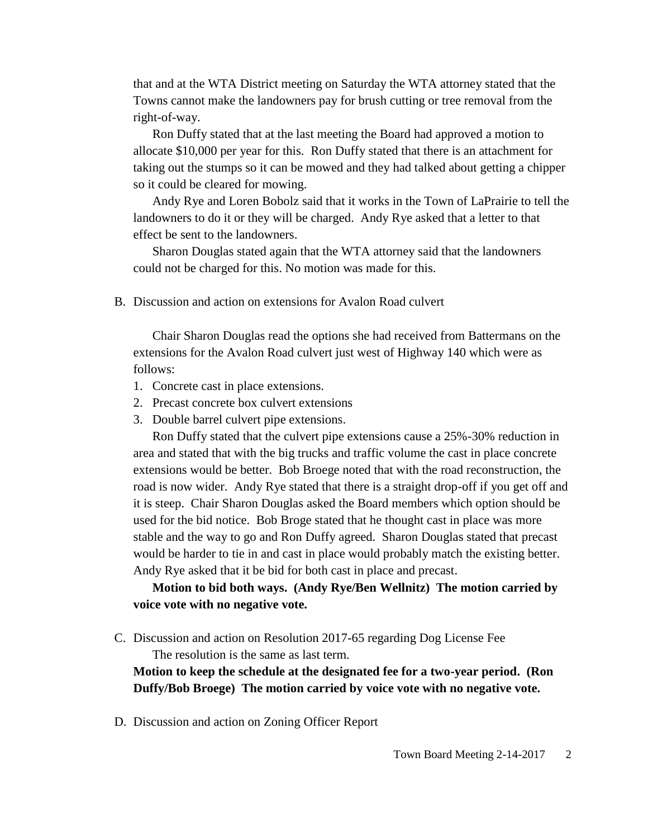that and at the WTA District meeting on Saturday the WTA attorney stated that the Towns cannot make the landowners pay for brush cutting or tree removal from the right-of-way.

Ron Duffy stated that at the last meeting the Board had approved a motion to allocate \$10,000 per year for this. Ron Duffy stated that there is an attachment for taking out the stumps so it can be mowed and they had talked about getting a chipper so it could be cleared for mowing.

Andy Rye and Loren Bobolz said that it works in the Town of LaPrairie to tell the landowners to do it or they will be charged. Andy Rye asked that a letter to that effect be sent to the landowners.

Sharon Douglas stated again that the WTA attorney said that the landowners could not be charged for this. No motion was made for this.

B. Discussion and action on extensions for Avalon Road culvert

Chair Sharon Douglas read the options she had received from Battermans on the extensions for the Avalon Road culvert just west of Highway 140 which were as follows:

- 1. Concrete cast in place extensions.
- 2. Precast concrete box culvert extensions
- 3. Double barrel culvert pipe extensions.

Ron Duffy stated that the culvert pipe extensions cause a 25%-30% reduction in area and stated that with the big trucks and traffic volume the cast in place concrete extensions would be better. Bob Broege noted that with the road reconstruction, the road is now wider. Andy Rye stated that there is a straight drop-off if you get off and it is steep. Chair Sharon Douglas asked the Board members which option should be used for the bid notice. Bob Broge stated that he thought cast in place was more stable and the way to go and Ron Duffy agreed. Sharon Douglas stated that precast would be harder to tie in and cast in place would probably match the existing better. Andy Rye asked that it be bid for both cast in place and precast.

**Motion to bid both ways. (Andy Rye/Ben Wellnitz) The motion carried by voice vote with no negative vote.**

C. Discussion and action on Resolution 2017-65 regarding Dog License Fee The resolution is the same as last term.

**Motion to keep the schedule at the designated fee for a two-year period. (Ron Duffy/Bob Broege) The motion carried by voice vote with no negative vote.**

D. Discussion and action on Zoning Officer Report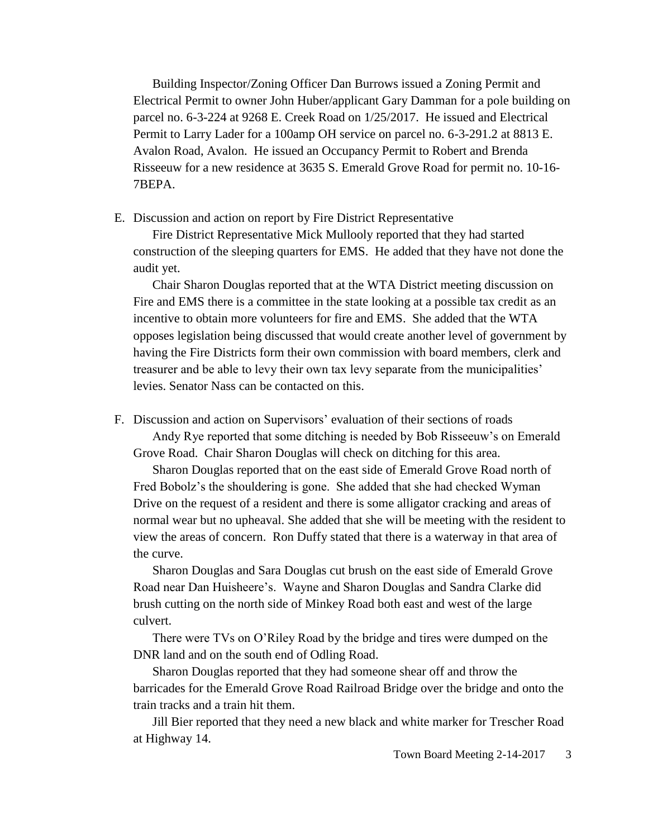Building Inspector/Zoning Officer Dan Burrows issued a Zoning Permit and Electrical Permit to owner John Huber/applicant Gary Damman for a pole building on parcel no. 6-3-224 at 9268 E. Creek Road on 1/25/2017. He issued and Electrical Permit to Larry Lader for a 100amp OH service on parcel no. 6-3-291.2 at 8813 E. Avalon Road, Avalon. He issued an Occupancy Permit to Robert and Brenda Risseeuw for a new residence at 3635 S. Emerald Grove Road for permit no. 10-16- 7BEPA.

E. Discussion and action on report by Fire District Representative

Fire District Representative Mick Mullooly reported that they had started construction of the sleeping quarters for EMS. He added that they have not done the audit yet.

Chair Sharon Douglas reported that at the WTA District meeting discussion on Fire and EMS there is a committee in the state looking at a possible tax credit as an incentive to obtain more volunteers for fire and EMS. She added that the WTA opposes legislation being discussed that would create another level of government by having the Fire Districts form their own commission with board members, clerk and treasurer and be able to levy their own tax levy separate from the municipalities' levies. Senator Nass can be contacted on this.

F. Discussion and action on Supervisors' evaluation of their sections of roads

Andy Rye reported that some ditching is needed by Bob Risseeuw's on Emerald Grove Road. Chair Sharon Douglas will check on ditching for this area.

Sharon Douglas reported that on the east side of Emerald Grove Road north of Fred Bobolz's the shouldering is gone. She added that she had checked Wyman Drive on the request of a resident and there is some alligator cracking and areas of normal wear but no upheaval. She added that she will be meeting with the resident to view the areas of concern. Ron Duffy stated that there is a waterway in that area of the curve.

Sharon Douglas and Sara Douglas cut brush on the east side of Emerald Grove Road near Dan Huisheere's. Wayne and Sharon Douglas and Sandra Clarke did brush cutting on the north side of Minkey Road both east and west of the large culvert.

There were TVs on O'Riley Road by the bridge and tires were dumped on the DNR land and on the south end of Odling Road.

Sharon Douglas reported that they had someone shear off and throw the barricades for the Emerald Grove Road Railroad Bridge over the bridge and onto the train tracks and a train hit them.

Jill Bier reported that they need a new black and white marker for Trescher Road at Highway 14.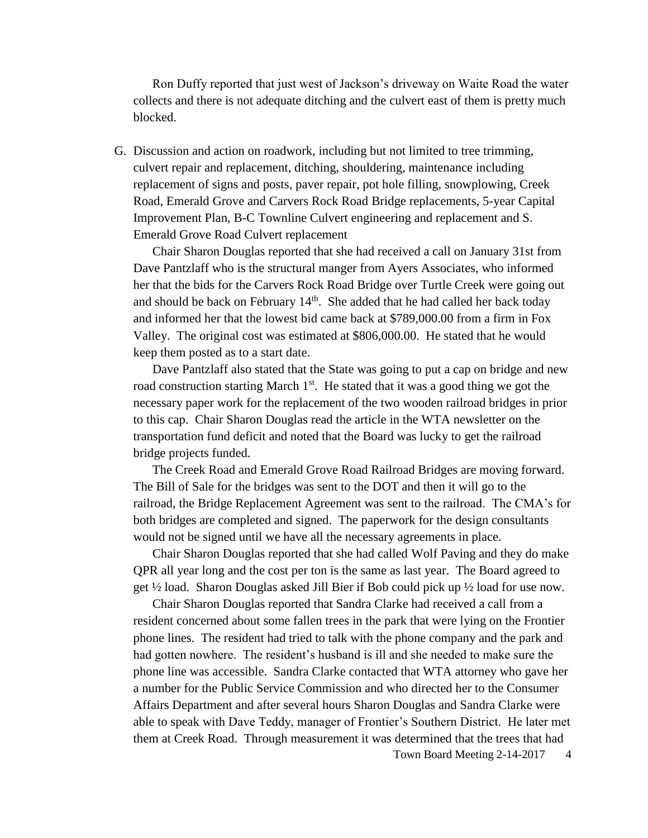Ron Duffy reported that just west of Jackson's driveway on Waite Road the water collects and there is not adequate ditching and the culvert east of them is pretty much blocked.

G. Discussion and action on roadwork, including but not limited to tree trimming, culvert repair and replacement, ditching, shouldering, maintenance including replacement of signs and posts, paver repair, pot hole filling, snowplowing, Creek Road, Emerald Grove and Carvers Rock Road Bridge replacements, 5-year Capital Improvement Plan, B-C Townline Culvert engineering and replacement and S. Emerald Grove Road Culvert replacement

Chair Sharon Douglas reported that she had received a call on January 31st from Dave Pantzlaff who is the structural manger from Ayers Associates, who informed her that the bids for the Carvers Rock Road Bridge over Turtle Creek were going out and should be back on February  $14<sup>th</sup>$ . She added that he had called her back today and informed her that the lowest bid came back at \$789,000.00 from a firm in Fox Valley. The original cost was estimated at \$806,000.00. He stated that he would keep them posted as to a start date.

Dave Pantzlaff also stated that the State was going to put a cap on bridge and new road construction starting March 1<sup>st</sup>. He stated that it was a good thing we got the necessary paper work for the replacement of the two wooden railroad bridges in prior to this cap. Chair Sharon Douglas read the article in the WTA newsletter on the transportation fund deficit and noted that the Board was lucky to get the railroad bridge projects funded.

The Creek Road and Emerald Grove Road Railroad Bridges are moving forward. The Bill of Sale for the bridges was sent to the DOT and then it will go to the railroad, the Bridge Replacement Agreement was sent to the railroad. The CMA's for both bridges are completed and signed. The paperwork for the design consultants would not be signed until we have all the necessary agreements in place.

Chair Sharon Douglas reported that she had called Wolf Paving and they do make QPR all year long and the cost per ton is the same as last year. The Board agreed to get ½ load. Sharon Douglas asked Jill Bier if Bob could pick up ½ load for use now.

Town Board Meeting 2-14-2017 4 Chair Sharon Douglas reported that Sandra Clarke had received a call from a resident concerned about some fallen trees in the park that were lying on the Frontier phone lines. The resident had tried to talk with the phone company and the park and had gotten nowhere. The resident's husband is ill and she needed to make sure the phone line was accessible. Sandra Clarke contacted that WTA attorney who gave her a number for the Public Service Commission and who directed her to the Consumer Affairs Department and after several hours Sharon Douglas and Sandra Clarke were able to speak with Dave Teddy, manager of Frontier's Southern District. He later met them at Creek Road. Through measurement it was determined that the trees that had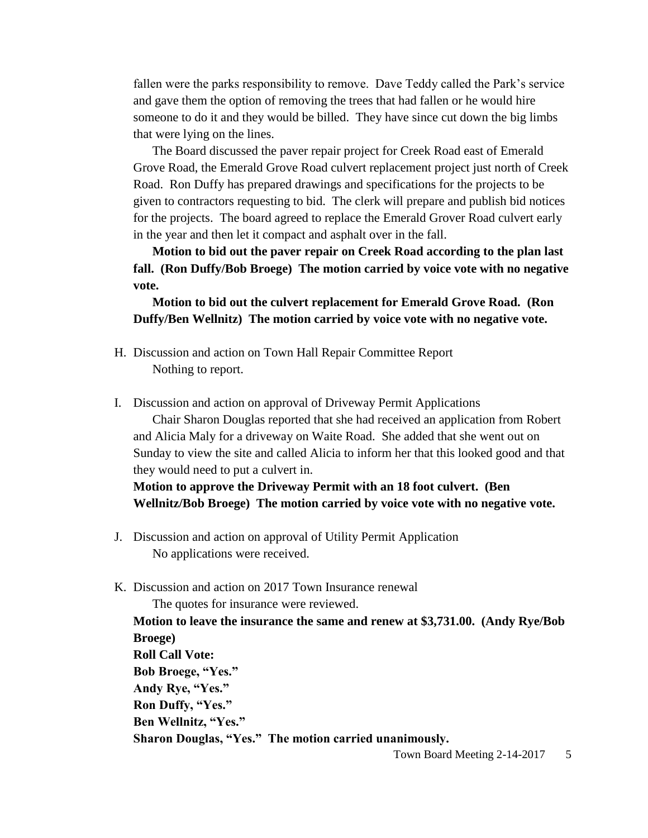fallen were the parks responsibility to remove. Dave Teddy called the Park's service and gave them the option of removing the trees that had fallen or he would hire someone to do it and they would be billed. They have since cut down the big limbs that were lying on the lines.

The Board discussed the paver repair project for Creek Road east of Emerald Grove Road, the Emerald Grove Road culvert replacement project just north of Creek Road. Ron Duffy has prepared drawings and specifications for the projects to be given to contractors requesting to bid. The clerk will prepare and publish bid notices for the projects. The board agreed to replace the Emerald Grover Road culvert early in the year and then let it compact and asphalt over in the fall.

**Motion to bid out the paver repair on Creek Road according to the plan last fall. (Ron Duffy/Bob Broege) The motion carried by voice vote with no negative vote.**

**Motion to bid out the culvert replacement for Emerald Grove Road. (Ron Duffy/Ben Wellnitz) The motion carried by voice vote with no negative vote.**

- H. Discussion and action on Town Hall Repair Committee Report Nothing to report.
- I. Discussion and action on approval of Driveway Permit Applications

Chair Sharon Douglas reported that she had received an application from Robert and Alicia Maly for a driveway on Waite Road. She added that she went out on Sunday to view the site and called Alicia to inform her that this looked good and that they would need to put a culvert in.

**Motion to approve the Driveway Permit with an 18 foot culvert. (Ben Wellnitz/Bob Broege) The motion carried by voice vote with no negative vote.**

- J. Discussion and action on approval of Utility Permit Application No applications were received.
- K. Discussion and action on 2017 Town Insurance renewal The quotes for insurance were reviewed.

**Motion to leave the insurance the same and renew at \$3,731.00. (Andy Rye/Bob Broege) Roll Call Vote: Bob Broege, "Yes." Andy Rye, "Yes." Ron Duffy, "Yes." Ben Wellnitz, "Yes." Sharon Douglas, "Yes." The motion carried unanimously.**